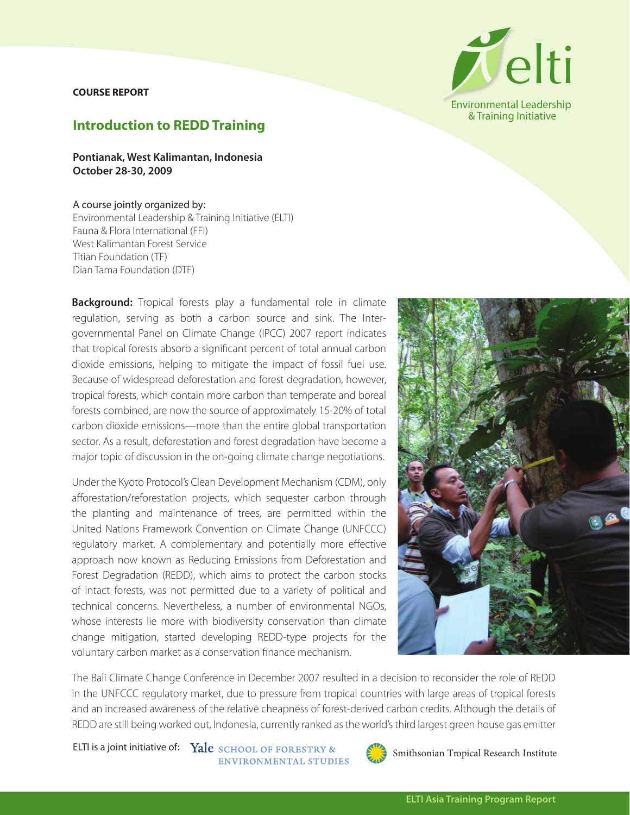## **COURSE REPORT**



## **Introduction to REDD Training**

**Pontianak, West Kalimantan, Indonesia October 28-30, 2009**

## A course jointly organized by:

Environmental Leadership & Training Initiative (ELTI) Fauna & Flora International (FFI) West Kalimantan Forest Service Titian Foundation (TF) Dian Tama Foundation (DTF)

**Background:** Tropical forests play a fundamental role in climate regulation, serving as both a carbon source and sink. The Intergovernmental Panel on Climate Change (IPCC) 2007 report indicates that tropical forests absorb a significant percent of total annual carbon dioxide emissions, helping to mitigate the impact of fossil fuel use. Because of widespread deforestation and forest degradation, however, tropical forests, which contain more carbon than temperate and boreal forests combined, are now the source of approximately 15-20% of total carbon dioxide emissions—more than the entire global transportation sector. As a result, deforestation and forest degradation have become a major topic of discussion in the on-going climate change negotiations.

Under the Kyoto Protocol's Clean Development Mechanism (CDM), only afforestation/reforestation projects, which sequester carbon through the planting and maintenance of trees, are permitted within the United Nations Framework Convention on Climate Change (UNFCCC) regulatory market. A complementary and potentially more effective approach now known as Reducing Emissions from Deforestation and Forest Degradation (REDD), which aims to protect the carbon stocks of intact forests, was not permitted due to a variety of political and technical concerns. Nevertheless, a number of environmental NGOs, whose interests lie more with biodiversity conservation than climate change mitigation, started developing REDD-type projects for the voluntary carbon market as a conservation finance mechanism.



The Bali Climate Change Conference in December 2007 resulted in a decision to reconsider the role of REDD in the UNFCCC regulatory market, due to pressure from tropical countries with large areas of tropical forests and an increased awareness of the relative cheapness of forest-derived carbon credits. Although the details of REDD are still being worked out, Indonesia, currently ranked as the world's third largest green house gas emitter

ELTI is a joint initiative of: Yale SCHOOL OF FORESTRY & ENVIRONMENTAL STUDIES

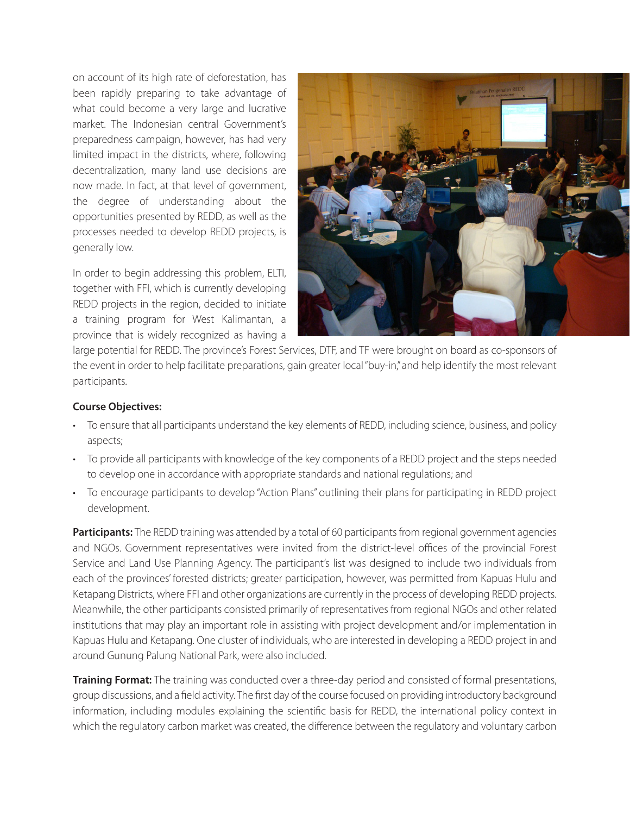on account of its high rate of deforestation, has been rapidly preparing to take advantage of what could become a very large and lucrative market. The Indonesian central Government's preparedness campaign, however, has had very limited impact in the districts, where, following decentralization, many land use decisions are now made. In fact, at that level of government, the degree of understanding about the opportunities presented by REDD, as well as the processes needed to develop REDD projects, is generally low.

In order to begin addressing this problem, ELTI, together with FFI, which is currently developing REDD projects in the region, decided to initiate a training program for West Kalimantan, a province that is widely recognized as having a



large potential for REDD. The province's Forest Services, DTF, and TF were brought on board as co-sponsors of the event in order to help facilitate preparations, gain greater local "buy-in," and help identify the most relevant participants.

## **Course Objectives:**

- • To ensure that all participants understand the key elements of REDD, including science, business, and policy aspects;
- • To provide all participants with knowledge of the key components of a REDD project and the steps needed to develop one in accordance with appropriate standards and national regulations; and
- To encourage participants to develop "Action Plans" outlining their plans for participating in REDD project development.

**Participants:** The REDD training was attended by a total of 60 participants from regional government agencies and NGOs. Government representatives were invited from the district-level offices of the provincial Forest Service and Land Use Planning Agency. The participant's list was designed to include two individuals from each of the provinces' forested districts; greater participation, however, was permitted from Kapuas Hulu and Ketapang Districts, where FFI and other organizations are currently in the process of developing REDD projects. Meanwhile, the other participants consisted primarily of representatives from regional NGOs and other related institutions that may play an important role in assisting with project development and/or implementation in Kapuas Hulu and Ketapang. One cluster of individuals, who are interested in developing a REDD project in and around Gunung Palung National Park, were also included.

**Training Format:** The training was conducted over a three-day period and consisted of formal presentations, group discussions, and a field activity. The first day of the course focused on providing introductory background information, including modules explaining the scientific basis for REDD, the international policy context in which the regulatory carbon market was created, the difference between the regulatory and voluntary carbon